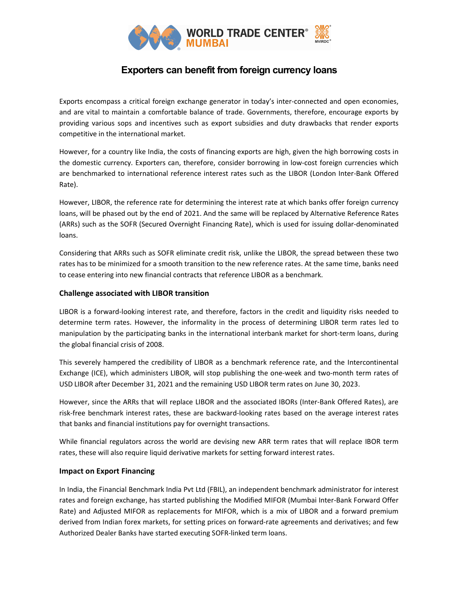

## Exporters can benefit from foreign currency loans

Exports encompass a critical foreign exchange generator in today's inter-connected and open economies, and are vital to maintain a comfortable balance of trade. Governments, therefore, encourage exports by providing various sops and incentives such as export subsidies and duty drawbacks that render exports competitive in the international market.

However, for a country like India, the costs of financing exports are high, given the high borrowing costs in the domestic currency. Exporters can, therefore, consider borrowing in low-cost foreign currencies which are benchmarked to international reference interest rates such as the LIBOR (London Inter-Bank Offered Rate).

However, LIBOR, the reference rate for determining the interest rate at which banks offer foreign currency loans, will be phased out by the end of 2021. And the same will be replaced by Alternative Reference Rates (ARRs) such as the SOFR (Secured Overnight Financing Rate), which is used for issuing dollar-denominated loans.

Considering that ARRs such as SOFR eliminate credit risk, unlike the LIBOR, the spread between these two rates has to be minimized for a smooth transition to the new reference rates. At the same time, banks need to cease entering into new financial contracts that reference LIBOR as a benchmark.

## Challenge associated with LIBOR transition

LIBOR is a forward-looking interest rate, and therefore, factors in the credit and liquidity risks needed to determine term rates. However, the informality in the process of determining LIBOR term rates led to manipulation by the participating banks in the international interbank market for short-term loans, during the global financial crisis of 2008.

This severely hampered the credibility of LIBOR as a benchmark reference rate, and the Intercontinental Exchange (ICE), which administers LIBOR, will stop publishing the one-week and two-month term rates of USD LIBOR after December 31, 2021 and the remaining USD LIBOR term rates on June 30, 2023.

However, since the ARRs that will replace LIBOR and the associated IBORs (Inter-Bank Offered Rates), are risk-free benchmark interest rates, these are backward-looking rates based on the average interest rates that banks and financial institutions pay for overnight transactions.

While financial regulators across the world are devising new ARR term rates that will replace IBOR term rates, these will also require liquid derivative markets for setting forward interest rates.

## Impact on Export Financing

In India, the Financial Benchmark India Pvt Ltd (FBIL), an independent benchmark administrator for interest rates and foreign exchange, has started publishing the Modified MIFOR (Mumbai Inter-Bank Forward Offer Rate) and Adjusted MIFOR as replacements for MIFOR, which is a mix of LIBOR and a forward premium derived from Indian forex markets, for setting prices on forward-rate agreements and derivatives; and few Authorized Dealer Banks have started executing SOFR-linked term loans.